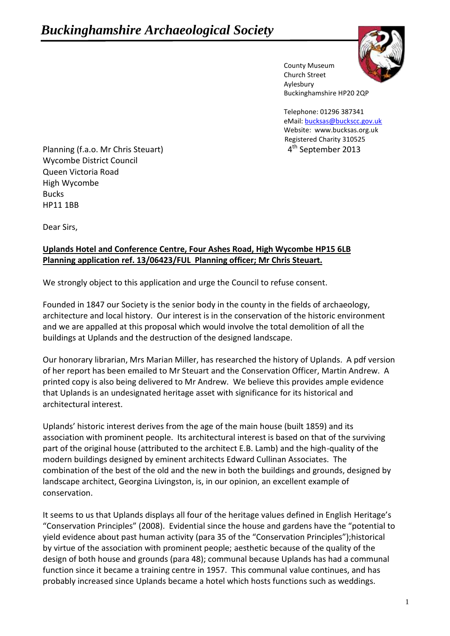

County Museum Church Street Aylesbury Buckinghamshire HP20 2QP

Telephone: 01296 387341 eMail[: bucksas@buckscc.gov.uk](mailto:bucksas@buckscc.gov.uk) Website: www.bucksas.org.uk Registered Charity 310525 4<sup>th</sup> September 2013

Planning (f.a.o. Mr Chris Steuart) 4 Wycombe District Council Queen Victoria Road High Wycombe Bucks HP11 1BB

Dear Sirs,

## **Uplands Hotel and Conference Centre, Four Ashes Road, High Wycombe HP15 6LB Planning application ref. 13/06423/FUL Planning officer; Mr Chris Steuart.**

We strongly object to this application and urge the Council to refuse consent.

Founded in 1847 our Society is the senior body in the county in the fields of archaeology, architecture and local history. Our interest is in the conservation of the historic environment and we are appalled at this proposal which would involve the total demolition of all the buildings at Uplands and the destruction of the designed landscape.

Our honorary librarian, Mrs Marian Miller, has researched the history of Uplands. A pdf version of her report has been emailed to Mr Steuart and the Conservation Officer, Martin Andrew. A printed copy is also being delivered to Mr Andrew. We believe this provides ample evidence that Uplands is an undesignated heritage asset with significance for its historical and architectural interest.

Uplands' historic interest derives from the age of the main house (built 1859) and its association with prominent people. Its architectural interest is based on that of the surviving part of the original house (attributed to the architect E.B. Lamb) and the high-quality of the modern buildings designed by eminent architects Edward Cullinan Associates. The combination of the best of the old and the new in both the buildings and grounds, designed by landscape architect, Georgina Livingston, is, in our opinion, an excellent example of conservation.

It seems to us that Uplands displays all four of the heritage values defined in English Heritage's "Conservation Principles" (2008). Evidential since the house and gardens have the "potential to yield evidence about past human activity (para 35 of the "Conservation Principles");historical by virtue of the association with prominent people; aesthetic because of the quality of the design of both house and grounds (para 48); communal because Uplands has had a communal function since it became a training centre in 1957. This communal value continues, and has probably increased since Uplands became a hotel which hosts functions such as weddings.